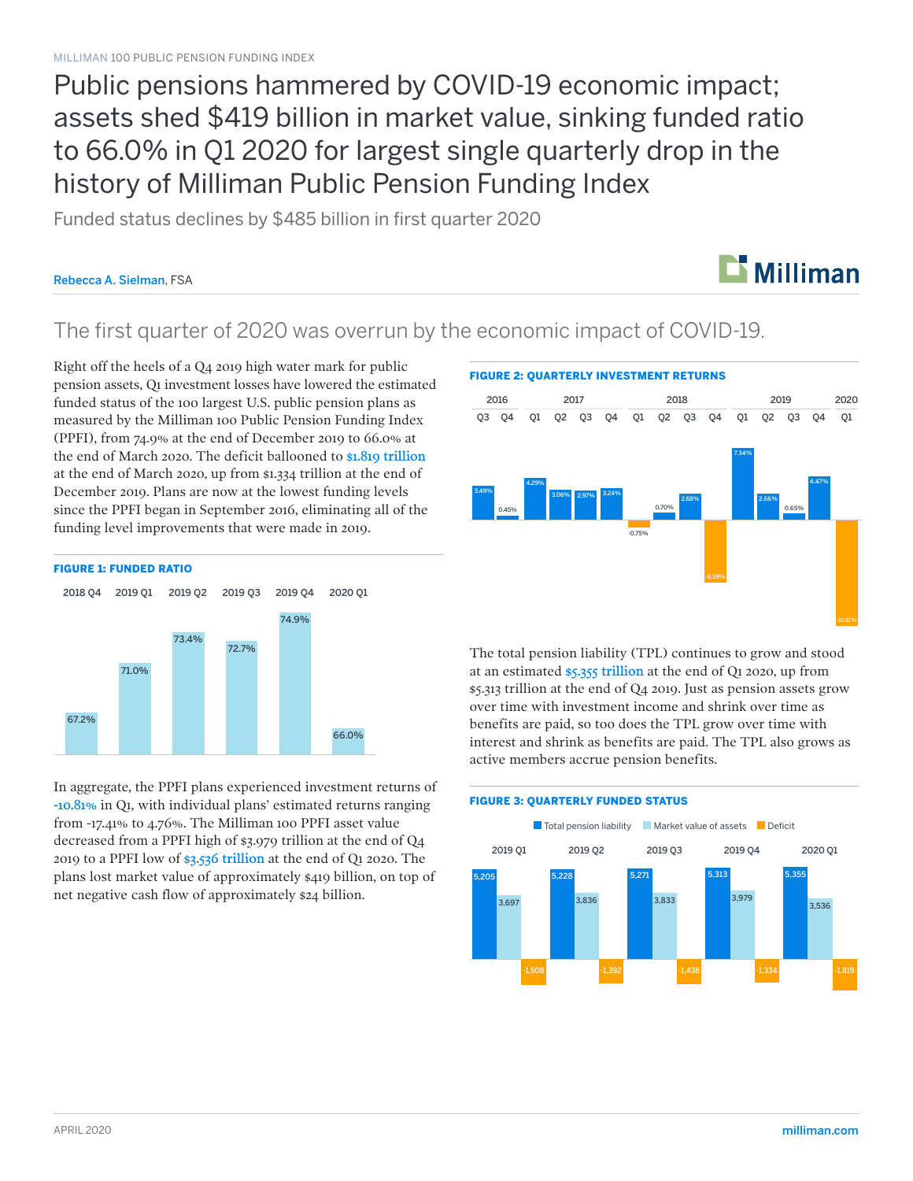Public pensions hammered by COVID-19 economic impact; assets shed \$419 billion in market value, sinking funded ratio to 66.0% in Q1 2020 for largest single quarterly drop in the history of Milliman Public Pension Funding Index

Funded status declines by \$485 billion in first quarter 2020

#### Rebecca A. Sielman, FSA



### The first quarter of 2020 was overrun by the economic impact of COVID-19.

Right off the heels of a Q4 2019 high water mark for public pension assets, Q1 investment losses have lowered the estimated funded status of the 100 largest U.S. public pension plans as measured by the Milliman 100 Public Pension Funding Index (PPFI), from 74.9% at the end of December 2019 to 66.0% at the end of March 2020. The deficit ballooned to \$1.819 trillion at the end of March 2020, up from \$1.334 trillion at the end of December 2019. Plans are now at the lowest funding levels since the PPFI began in September 2016, eliminating all of the funding level improvements that were made in 2019.



In aggregate, the PPFI plans experienced investment returns of -10.81% in Q1, with individual plans' estimated returns ranging from -17.41% to 4.76%. The Milliman 100 PPFI asset value decreased from a PPFI high of \$3.979 trillion at the end of Q4 2019 to a PPFI low of \$3.536 trillion at the end of Q1 2020. The plans lost market value of approximately \$419 billion, on top of net negative cash flow of approximately \$24 billion.

#### FIGURE 2: QUARTERLY INVESTMENT RETURNS



The total pension liability (TPL) continues to grow and stood at an estimated \$5.355 trillion at the end of Q1 2020, up from \$5.313 trillion at the end of Q4 2019. Just as pension assets grow over time with investment income and shrink over time as benefits are paid, so too does the TPL grow over time with interest and shrink as benefits are paid. The TPL also grows as active members accrue pension benefits.

#### FIGURE 3: QUARTERLY FUNDED STATUS